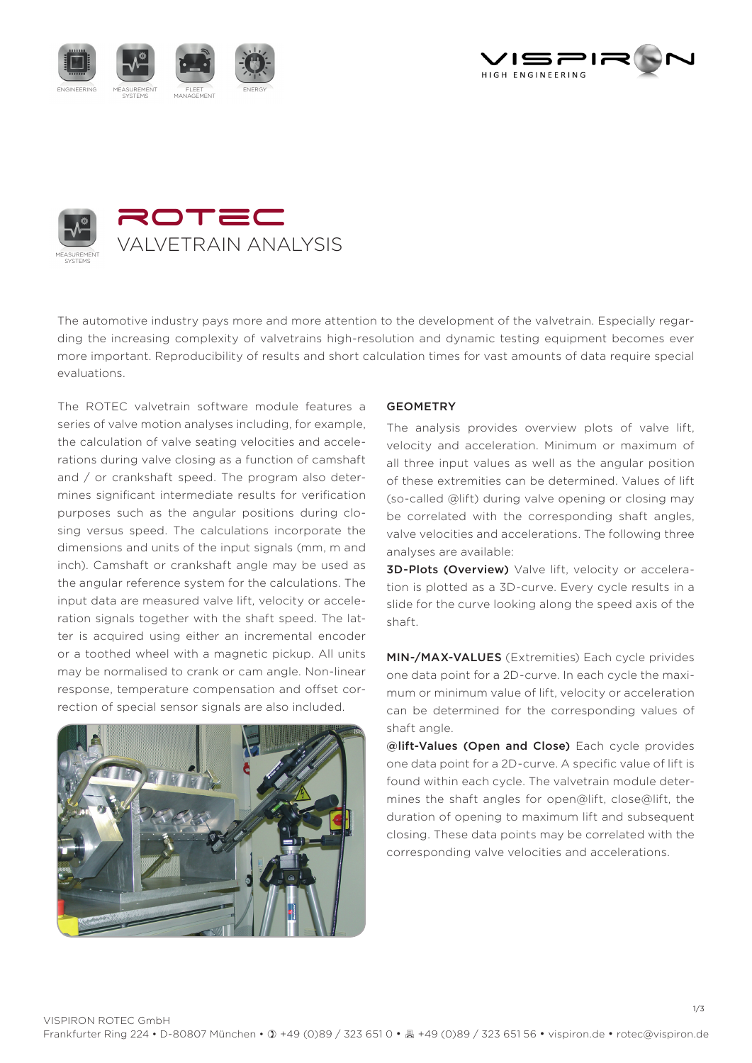





The automotive industry pays more and more attention to the development of the valvetrain. Especially regarding the increasing complexity of valvetrains high-resolution and dynamic testing equipment becomes ever more important. Reproducibility of results and short calculation times for vast amounts of data require special evaluations.

The ROTEC valvetrain software module features a series of valve motion analyses including, for example, the calculation of valve seating velocities and accelerations during valve closing as a function of camshaft and / or crankshaft speed. The program also determines significant intermediate results for verification purposes such as the angular positions during closing versus speed. The calculations incorporate the dimensions and units of the input signals (mm, m and inch). Camshaft or crankshaft angle may be used as the angular reference system for the calculations. The input data are measured valve lift, velocity or acceleration signals together with the shaft speed. The latter is acquired using either an incremental encoder or a toothed wheel with a magnetic pickup. All units may be normalised to crank or cam angle. Non-linear response, temperature compensation and offset correction of special sensor signals are also included.



### GEOMETRY

The analysis provides overview plots of valve lift, velocity and acceleration. Minimum or maximum of all three input values as well as the angular position of these extremities can be determined. Values of lift (so-called @lift) during valve opening or closing may be correlated with the corresponding shaft angles, valve velocities and accelerations. The following three analyses are available:

3D-Plots (Overview) Valve lift, velocity or acceleration is plotted as a 3D-curve. Every cycle results in a slide for the curve looking along the speed axis of the shaft.

MIN-/MAX-VALUES (Extremities) Each cycle privides one data point for a 2D-curve. In each cycle the maximum or minimum value of lift, velocity or acceleration can be determined for the corresponding values of shaft angle.

@lift-Values (Open and Close) Each cycle provides one data point for a 2D-curve. A specific value of lift is found within each cycle. The valvetrain module determines the shaft angles for open@lift, close@lift, the duration of opening to maximum lift and subsequent closing. These data points may be correlated with the corresponding valve velocities and accelerations.

1/3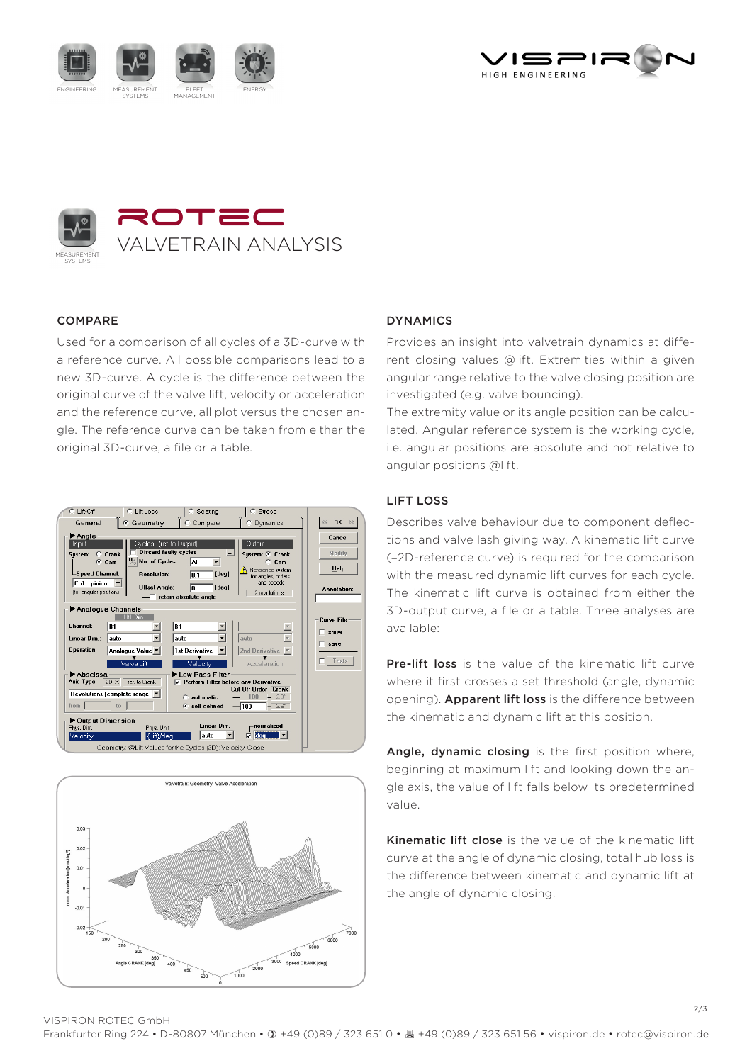





## **COMPARE**

Used for a comparison of all cycles of a 3D-curve with a reference curve. All possible comparisons lead to a new 3D-curve. A cycle is the difference between the original curve of the valve lift, velocity or acceleration and the reference curve, all plot versus the chosen angle. The reference curve can be taken from either the original 3D-curve, a file or a table.





## **DYNAMICS**

Provides an insight into valvetrain dynamics at different closing values @lift. Extremities within a given angular range relative to the valve closing position are investigated (e.g. valve bouncing).

The extremity value or its angle position can be calculated. Angular reference system is the working cycle, i.e. angular positions are absolute and not relative to angular positions @lift.

### Lift Loss

Describes valve behaviour due to component deflections and valve lash giving way. A kinematic lift curve (=2D-reference curve) is required for the comparison with the measured dynamic lift curves for each cycle. The kinematic lift curve is obtained from either the 3D-output curve, a file or a table. Three analyses are available:

Pre-lift loss is the value of the kinematic lift curve where it first crosses a set threshold (angle, dynamic opening). Apparent lift loss is the difference between the kinematic and dynamic lift at this position.

Angle, dynamic closing is the first position where, beginning at maximum lift and looking down the angle axis, the value of lift falls below its predetermined value.

Kinematic lift close is the value of the kinematic lift curve at the angle of dynamic closing, total hub loss is the difference between kinematic and dynamic lift at the angle of dynamic closing.